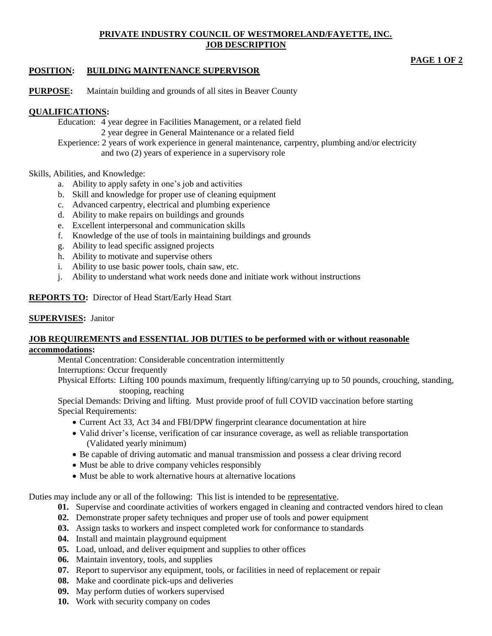# **PRIVATE INDUSTRY COUNCIL OF WESTMORELAND/FAYETTE, INC. JOB DESCRIPTION**

# **PAGE 1 OF 2**

# **POSITION: BUILDING MAINTENANCE SUPERVISOR**

**PURPOSE:** Maintain building and grounds of all sites in Beaver County

# **QUALIFICATIONS:**

Education: 4 year degree in Facilities Management, or a related field 2 year degree in General Maintenance or a related field

Experience: 2 years of work experience in general maintenance, carpentry, plumbing and/or electricity and two (2) years of experience in a supervisory role

### Skills, Abilities, and Knowledge:

- a. Ability to apply safety in one's job and activities
- b. Skill and knowledge for proper use of cleaning equipment
- c. Advanced carpentry, electrical and plumbing experience
- d. Ability to make repairs on buildings and grounds
- e. Excellent interpersonal and communication skills
- f. Knowledge of the use of tools in maintaining buildings and grounds
- g. Ability to lead specific assigned projects
- h. Ability to motivate and supervise others
- i. Ability to use basic power tools, chain saw, etc.
- j. Ability to understand what work needs done and initiate work without instructions

# **REPORTS TO:** Director of Head Start/Early Head Start

## **SUPERVISES:** Janitor

#### **JOB REQUIREMENTS and ESSENTIAL JOB DUTIES to be performed with or without reasonable accommodations:**

Mental Concentration: Considerable concentration intermittently

Interruptions: Occur frequently

Physical Efforts: Lifting 100 pounds maximum, frequently lifting/carrying up to 50 pounds, crouching, standing, stooping, reaching

Special Demands: Driving and lifting. Must provide proof of full COVID vaccination before starting Special Requirements:

- Current Act 33, Act 34 and FBI/DPW fingerprint clearance documentation at hire
- Valid driver's license, verification of car insurance coverage, as well as reliable transportation (Validated yearly minimum)
- Be capable of driving automatic and manual transmission and possess a clear driving record
- Must be able to drive company vehicles responsibly
- Must be able to work alternative hours at alternative locations

Duties may include any or all of the following: This list is intended to be representative.

- **01.** Supervise and coordinate activities of workers engaged in cleaning and contracted vendors hired to clean
- **02.** Demonstrate proper safety techniques and proper use of tools and power equipment
- **03.** Assign tasks to workers and inspect completed work for conformance to standards
- **04.** Install and maintain playground equipment
- **05.** Load, unload, and deliver equipment and supplies to other offices
- **06.** Maintain inventory, tools, and supplies
- **07.** Report to supervisor any equipment, tools, or facilities in need of replacement or repair
- **08.** Make and coordinate pick-ups and deliveries
- **09.** May perform duties of workers supervised
- **10.** Work with security company on codes